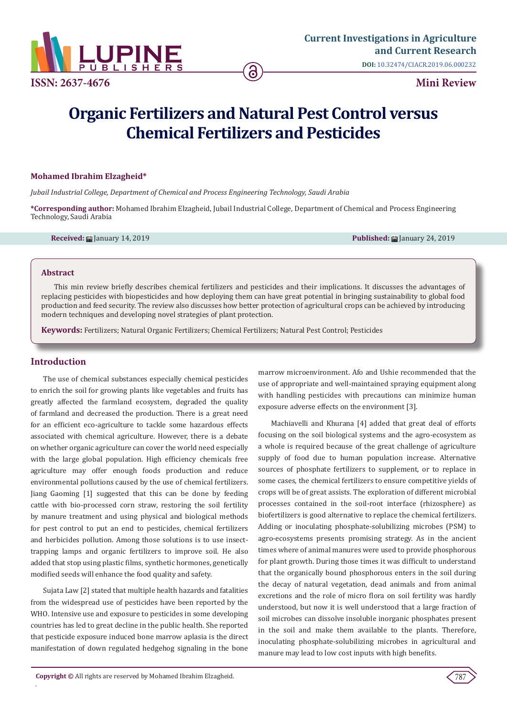

# **Organic Fertilizers and Natural Pest Control versus Chemical Fertilizers and Pesticides**

#### **Mohamed Ibrahim Elzagheid\***

*Jubail Industrial College, Department of Chemical and Process Engineering Technology, Saudi Arabia*

**\*Corresponding author:** Mohamed Ibrahim Elzagheid, Jubail Industrial College, Department of Chemical and Process Engineering Technology, Saudi Arabia

**Received:** January 14, 2019 **Published:** January 24, 2019

#### **Abstract**

This min review briefly describes chemical fertilizers and pesticides and their implications. It discusses the advantages of replacing pesticides with biopesticides and how deploying them can have great potential in bringing sustainability to global food production and feed security. The review also discusses how better protection of agricultural crops can be achieved by introducing modern techniques and developing novel strategies of plant protection.

**Keywords:** Fertilizers; Natural Organic Fertilizers; Chemical Fertilizers; Natural Pest Control; Pesticides

## **Introduction**

.

The use of chemical substances especially chemical pesticides to enrich the soil for growing plants like vegetables and fruits has greatly affected the farmland ecosystem, degraded the quality of farmland and decreased the production. There is a great need for an efficient eco-agriculture to tackle some hazardous effects associated with chemical agriculture. However, there is a debate on whether organic agriculture can cover the world need especially with the large global population. High efficiency chemicals free agriculture may offer enough foods production and reduce environmental pollutions caused by the use of chemical fertilizers. Jiang Gaoming [1] suggested that this can be done by feeding cattle with bio-processed corn straw, restoring the soil fertility by manure treatment and using physical and biological methods for pest control to put an end to pesticides, chemical fertilizers and herbicides pollution. Among those solutions is to use insecttrapping lamps and organic fertilizers to improve soil. He also added that stop using plastic films, synthetic hormones, genetically modified seeds will enhance the food quality and safety.

Sujata Law [2] stated that multiple health hazards and fatalities from the widespread use of pesticides have been reported by the WHO. Intensive use and exposure to pesticides in some developing countries has led to great decline in the public health. She reported that pesticide exposure induced bone marrow aplasia is the direct manifestation of down regulated hedgehog signaling in the bone marrow microenvironment. Afo and Ushie recommended that the use of appropriate and well-maintained spraying equipment along with handling pesticides with precautions can minimize human exposure adverse effects on the environment [3].

Machiavelli and Khurana [4] added that great deal of efforts focusing on the soil biological systems and the agro-ecosystem as a whole is required because of the great challenge of agriculture supply of food due to human population increase. Alternative sources of phosphate fertilizers to supplement, or to replace in some cases, the chemical fertilizers to ensure competitive yields of crops will be of great assists. The exploration of different microbial processes contained in the soil-root interface (rhizosphere) as biofertilizers is good alternative to replace the chemical fertilizers. Adding or inoculating phosphate-solubilizing microbes (PSM) to agro-ecosystems presents promising strategy. As in the ancient times where of animal manures were used to provide phosphorous for plant growth. During those times it was difficult to understand that the organically bound phosphorous enters in the soil during the decay of natural vegetation, dead animals and from animal excretions and the role of micro flora on soil fertility was hardly understood, but now it is well understood that a large fraction of soil microbes can dissolve insoluble inorganic phosphates present in the soil and make them available to the plants. Therefore, inoculating phosphate-solubilizing microbes in agricultural and manure may lead to low cost inputs with high benefits.

787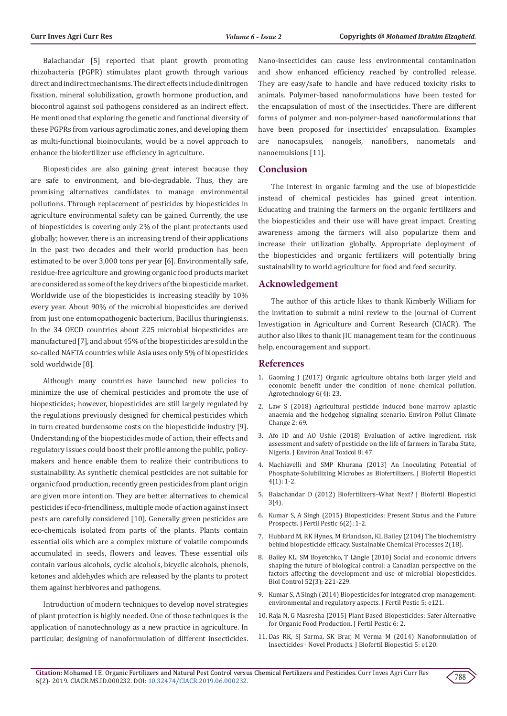Balachandar [5] reported that plant growth promoting rhizobacteria (PGPR) stimulates plant growth through various direct and indirect mechanisms. The direct effects include dinitrogen fixation, mineral solubilization, growth hormone production, and biocontrol against soil pathogens considered as an indirect effect. He mentioned that exploring the genetic and functional diversity of these PGPRs from various agroclimatic zones, and developing them as multi-functional bioinoculants, would be a novel approach to enhance the biofertilizer use efficiency in agriculture.

Biopesticides are also gaining great interest because they are safe to environment, and bio-degradable. Thus, they are promising alternatives candidates to manage environmental pollutions. Through replacement of pesticides by biopesticides in agriculture environmental safety can be gained. Currently, the use of biopesticides is covering only 2% of the plant protectants used globally; however, there is an increasing trend of their applications in the past two decades and their world production has been estimated to be over 3,000 tons per year [6]. Environmentally safe, residue-free agriculture and growing organic food products market are considered as some of the key drivers of the biopesticide market. Worldwide use of the biopesticides is increasing steadily by 10% every year. About 90% of the microbial biopesticides are derived from just one entomopathogenic bacterium, Bacillus thuringiensis. In the 34 OECD countries about 225 microbial biopesticides are manufactured [7], and about 45% of the biopesticides are sold in the so-called NAFTA countries while Asia uses only 5% of biopesticides sold worldwide [8].

Although many countries have launched new policies to minimize the use of chemical pesticides and promote the use of biopesticides; however, biopesticides are still largely regulated by the regulations previously designed for chemical pesticides which in turn created burdensome costs on the biopesticide industry [9]. Understanding of the biopesticides mode of action, their effects and regulatory issues could boost their profile among the public, policymakers and hence enable them to realize their contributions to sustainability. As synthetic chemical pesticides are not suitable for organic food production, recently green pesticides from plant origin are given more intention. They are better alternatives to chemical pesticides if eco-friendliness, multiple mode of action against insect pests are carefully considered [10]. Generally green pesticides are eco-chemicals isolated from parts of the plants. Plants contain essential oils which are a complex mixture of volatile compounds accumulated in seeds, flowers and leaves. These essential oils contain various alcohols, cyclic alcohols, bicyclic alcohols, phenols, ketones and aldehydes which are released by the plants to protect them against herbivores and pathogens.

Introduction of modern techniques to develop novel strategies of plant protection is highly needed. One of those techniques is the application of nanotechnology as a new practice in agriculture. In particular, designing of nanoformulation of different insecticides.

Nano-insecticides can cause less environmental contamination and show enhanced efficiency reached by controlled release. They are easy/safe to handle and have reduced toxicity risks to animals. Polymer-based nanoformulations have been tested for the encapsulation of most of the insecticides. There are different forms of polymer and non-polymer-based nanoformulations that have been proposed for insecticides' encapsulation. Examples are nanocapsules, nanogels, nanofibers, nanometals and nanoemulsions [11].

#### **Conclusion**

The interest in organic farming and the use of biopesticide instead of chemical pesticides has gained great intention. Educating and training the farmers on the organic fertilizers and the biopesticides and their use will have great impact. Creating awareness among the farmers will also popularize them and increase their utilization globally. Appropriate deployment of the biopesticides and organic fertilizers will potentially bring sustainability to world agriculture for food and feed security.

#### **Acknowledgement**

The author of this article likes to thank Kimberly William for the invitation to submit a mini review to the journal of Current Investigation in Agriculture and Current Research (CIACR). The author also likes to thank JIC management team for the continuous help, encouragement and support.

#### **References**

- 1. Gaoming J (2017) Organic agriculture obtains both larger yield and economic benefit under the condition of none chemical pollution. Agrotechnology 6(4): 23.
- 2. [Law S \(2018\) Agricultural pesticide induced bone marrow aplastic](https://www.omicsonline.org/proceedings/agricultural-pesticide-induced-bone-marrow-aplastic-anaemia-and-the-hedgehog-signaling-scenario-96879.html) [anaemia and the hedgehog signaling scenario. Environ Pollut Climate](https://www.omicsonline.org/proceedings/agricultural-pesticide-induced-bone-marrow-aplastic-anaemia-and-the-hedgehog-signaling-scenario-96879.html) [Change 2: 69.](https://www.omicsonline.org/proceedings/agricultural-pesticide-induced-bone-marrow-aplastic-anaemia-and-the-hedgehog-signaling-scenario-96879.html)
- 3. [Afo ID and AO Ushie \(2018\) Evaluation of active ingredient, risk](https://www.omicsonline.org/proceedings/evaluation-of-active-ingredient-risk-assessment-and-safety-of-pesticide-on-the-life-of-farmers-in-taraba-state-nigeria-89971.html) [assessment and safety of pesticide on the life of farmers in Taraba State,](https://www.omicsonline.org/proceedings/evaluation-of-active-ingredient-risk-assessment-and-safety-of-pesticide-on-the-life-of-farmers-in-taraba-state-nigeria-89971.html) [Nigeria. J Environ Anal Toxicol 8: 47.](https://www.omicsonline.org/proceedings/evaluation-of-active-ingredient-risk-assessment-and-safety-of-pesticide-on-the-life-of-farmers-in-taraba-state-nigeria-89971.html)
- 4. Machiavelli and SMP Khurana (2013) An Inoculating Potential of Phosphate-Solubilizing Microbes as Biofertilizers. J Biofertil Biopestici 4(1): 1-2.
- 5. [Balachandar D \(2012\) Biofertilizers–What Next? J Biofertil Biopestici](https://www.researchgate.net/publication/276196505_Biofertilizers-What_Next) [3\(4\).](https://www.researchgate.net/publication/276196505_Biofertilizers-What_Next)
- 6. [Kumar S, A Singh \(2015\) Biopesticides: Present Status and the Future](https://www.omicsonline.org/open-access/biopesticides-present-status-and-the-future-prospects-jbfbp-1000e129.php?aid=64583) [Prospects. J Fertil Pestic 6\(2\): 1-2.](https://www.omicsonline.org/open-access/biopesticides-present-status-and-the-future-prospects-jbfbp-1000e129.php?aid=64583)
- 7. [Hubbard M, RK Hynes, M Erlandson, KL Bailey \(2104\) The biochemistry](https://sustainablechemicalprocesses.springeropen.com/articles/10.1186/s40508-014-0018-x) [behind biopesticide efficacy. Sustainable Chemical Processes 2\(18\).](https://sustainablechemicalprocesses.springeropen.com/articles/10.1186/s40508-014-0018-x)
- 8. [Bailey KL, SM Boyetchko, T Längle \(2010\) Social and economic drivers](https://www.sciencedirect.com/science/article/pii/S1049964409001327) [shaping the future of biological control: a Canadian perspective on the](https://www.sciencedirect.com/science/article/pii/S1049964409001327) [factors affecting the development and use of microbial biopesticides.](https://www.sciencedirect.com/science/article/pii/S1049964409001327) [Biol Control 52\(3\): 221-229.](https://www.sciencedirect.com/science/article/pii/S1049964409001327)
- 9. [Kumar S, A Singh \(2014\) Biopesticides for integrated crop management:](https://www.researchgate.net/publication/267330773_Biopesticides_for_integrated_crop_management_Environmental_and_regulatory_aspects) [environmental and regulatory aspects. J Fertil Pestic 5: e121.](https://www.researchgate.net/publication/267330773_Biopesticides_for_integrated_crop_management_Environmental_and_regulatory_aspects)
- 10. [Raja N, G Masresha \(2015\) Plant Based Biopesticides: Safer Alternative](https://www.omicsonline.org/open-access/plant-based-biopesticides-safer-alternative-for-organic-food-production-jbfbp-1000e128.php?aid=64582) [for Organic Food Production. J Fertil Pestic 6: 2.](https://www.omicsonline.org/open-access/plant-based-biopesticides-safer-alternative-for-organic-food-production-jbfbp-1000e128.php?aid=64582)
- 11. [Das RK, SJ Sarma, SK Brar, M Verma M \(2014\) Nanoformulation of](https://www.omicsonline.org/open-access/nanoformulation-of-insecticides-novel-products-2155-6202.1000e120.php?aid=23521) [Insecticides - Novel Products. J Biofertil Biopestici 5: e120.](https://www.omicsonline.org/open-access/nanoformulation-of-insecticides-novel-products-2155-6202.1000e120.php?aid=23521)